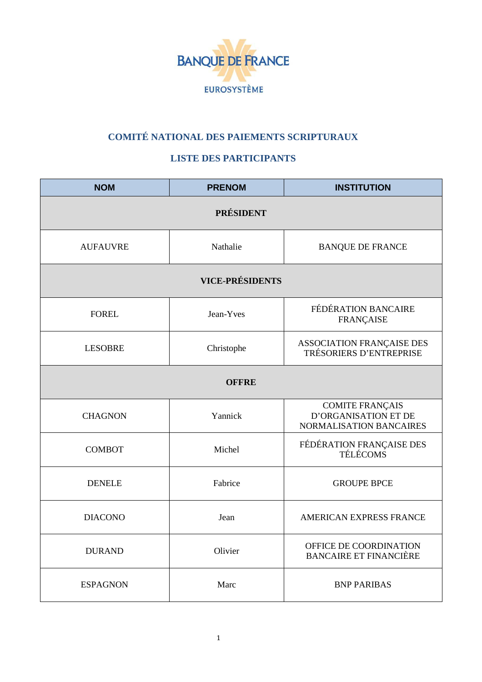

## **COMITÉ NATIONAL DES PAIEMENTS SCRIPTURAUX**

## **LISTE DES PARTICIPANTS**

| <b>NOM</b>             | <b>PRENOM</b> | <b>INSTITUTION</b>                                                               |  |  |
|------------------------|---------------|----------------------------------------------------------------------------------|--|--|
| <b>PRÉSIDENT</b>       |               |                                                                                  |  |  |
| <b>AUFAUVRE</b>        | Nathalie      | <b>BANQUE DE FRANCE</b>                                                          |  |  |
| <b>VICE-PRÉSIDENTS</b> |               |                                                                                  |  |  |
| <b>FOREL</b>           | Jean-Yves     | FÉDÉRATION BANCAIRE<br><b>FRANÇAISE</b>                                          |  |  |
| <b>LESOBRE</b>         | Christophe    | ASSOCIATION FRANÇAISE DES<br>TRÉSORIERS D'ENTREPRISE                             |  |  |
| <b>OFFRE</b>           |               |                                                                                  |  |  |
| <b>CHAGNON</b>         | Yannick       | <b>COMITE FRANÇAIS</b><br><b>D'ORGANISATION ET DE</b><br>NORMALISATION BANCAIRES |  |  |
| <b>COMBOT</b>          | Michel        | FÉDÉRATION FRANÇAISE DES TÉLÉCOMS                                                |  |  |
| <b>DENELE</b>          | Fabrice       | <b>GROUPE BPCE</b>                                                               |  |  |
| <b>DIACONO</b>         | Jean          | AMERICAN EXPRESS FRANCE                                                          |  |  |
| <b>DURAND</b>          | Olivier       | OFFICE DE COORDINATION<br><b>BANCAIRE ET FINANCIÈRE</b>                          |  |  |
| <b>ESPAGNON</b>        | Marc          | <b>BNP PARIBAS</b>                                                               |  |  |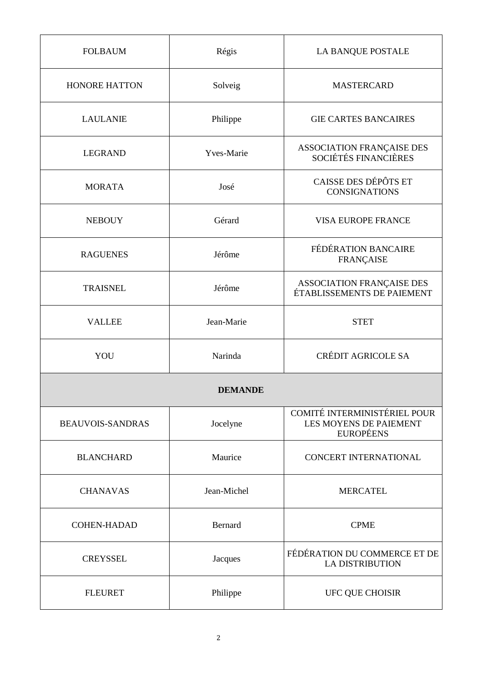| <b>FOLBAUM</b>          | Régis       | LA BANQUE POSTALE                                                          |  |  |
|-------------------------|-------------|----------------------------------------------------------------------------|--|--|
| <b>HONORE HATTON</b>    | Solveig     | <b>MASTERCARD</b>                                                          |  |  |
| <b>LAULANIE</b>         | Philippe    | <b>GIE CARTES BANCAIRES</b>                                                |  |  |
| <b>LEGRAND</b>          | Yves-Marie  | ASSOCIATION FRANÇAISE DES<br>SOCIÉTÉS FINANCIÈRES                          |  |  |
| <b>MORATA</b>           | José        | CAISSE DES DÉPÔTS ET<br><b>CONSIGNATIONS</b>                               |  |  |
| <b>NEBOUY</b>           | Gérard      | <b>VISA EUROPE FRANCE</b>                                                  |  |  |
| <b>RAGUENES</b>         | Jérôme      | FÉDÉRATION BANCAIRE<br><b>FRANÇAISE</b>                                    |  |  |
| <b>TRAISNEL</b>         | Jérôme      | ASSOCIATION FRANÇAISE DES<br>ÉTABLISSEMENTS DE PAIEMENT                    |  |  |
| <b>VALLEE</b>           | Jean-Marie  | <b>STET</b>                                                                |  |  |
| YOU                     | Narinda     | <b>CRÉDIT AGRICOLE SA</b>                                                  |  |  |
| <b>DEMANDE</b>          |             |                                                                            |  |  |
| <b>BEAUVOIS-SANDRAS</b> | Jocelyne    | COMITÉ INTERMINISTÉRIEL POUR<br>LES MOYENS DE PAIEMENT<br><b>EUROPÉENS</b> |  |  |
| <b>BLANCHARD</b>        | Maurice     | <b>CONCERT INTERNATIONAL</b>                                               |  |  |
| <b>CHANAVAS</b>         | Jean-Michel | <b>MERCATEL</b>                                                            |  |  |
| <b>COHEN-HADAD</b>      | Bernard     | <b>CPME</b>                                                                |  |  |
| <b>CREYSSEL</b>         | Jacques     | FÉDÉRATION DU COMMERCE ET DE<br><b>LA DISTRIBUTION</b>                     |  |  |
| <b>FLEURET</b>          | Philippe    | UFC QUE CHOISIR                                                            |  |  |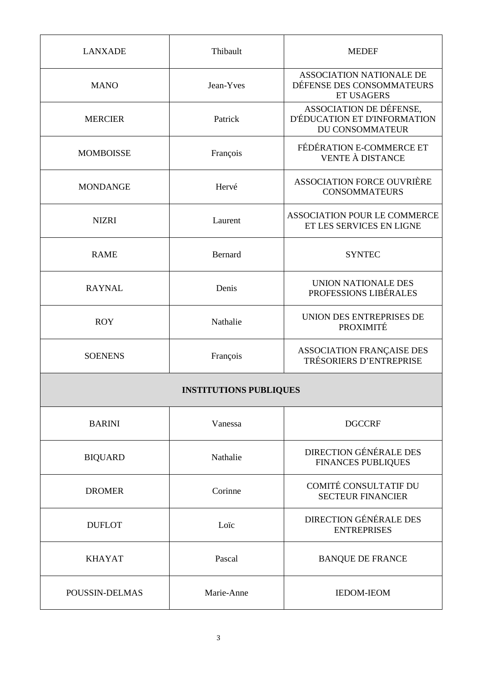| <b>LANXADE</b>                | Thibault   | <b>MEDEF</b>                                                               |  |  |
|-------------------------------|------------|----------------------------------------------------------------------------|--|--|
| <b>MANO</b>                   | Jean-Yves  | ASSOCIATION NATIONALE DE<br>DÉFENSE DES CONSOMMATEURS<br><b>ET USAGERS</b> |  |  |
| <b>MERCIER</b>                | Patrick    | ASSOCIATION DE DÉFENSE,<br>D'ÉDUCATION ET D'INFORMATION<br>DU CONSOMMATEUR |  |  |
| <b>MOMBOISSE</b>              | François   | FÉDÉRATION E-COMMERCE ET<br><b>VENTE À DISTANCE</b>                        |  |  |
| <b>MONDANGE</b>               | Hervé      | <b>ASSOCIATION FORCE OUVRIÈRE</b><br><b>CONSOMMATEURS</b>                  |  |  |
| <b>NIZRI</b>                  | Laurent    | <b>ASSOCIATION POUR LE COMMERCE</b><br>ET LES SERVICES EN LIGNE            |  |  |
| <b>RAME</b>                   | Bernard    | <b>SYNTEC</b>                                                              |  |  |
| <b>RAYNAL</b>                 | Denis      | UNION NATIONALE DES<br>PROFESSIONS LIBÉRALES                               |  |  |
| <b>ROY</b>                    | Nathalie   | UNION DES ENTREPRISES DE<br>PROXIMITÉ                                      |  |  |
| <b>SOENENS</b>                | François   | ASSOCIATION FRANÇAISE DES<br>TRÉSORIERS D'ENTREPRISE                       |  |  |
| <b>INSTITUTIONS PUBLIQUES</b> |            |                                                                            |  |  |
| <b>BARINI</b>                 | Vanessa    | <b>DGCCRF</b>                                                              |  |  |
| <b>BIQUARD</b>                | Nathalie   | <b>DIRECTION GÉNÉRALE DES</b><br><b>FINANCES PUBLIQUES</b>                 |  |  |
| <b>DROMER</b>                 | Corinne    | <b>COMITÉ CONSULTATIF DU</b><br><b>SECTEUR FINANCIER</b>                   |  |  |
| <b>DUFLOT</b>                 | Loïc       | <b>DIRECTION GÉNÉRALE DES</b><br><b>ENTREPRISES</b>                        |  |  |
| <b>KHAYAT</b>                 | Pascal     | <b>BANQUE DE FRANCE</b>                                                    |  |  |
| POUSSIN-DELMAS                | Marie-Anne | <b>IEDOM-IEOM</b>                                                          |  |  |